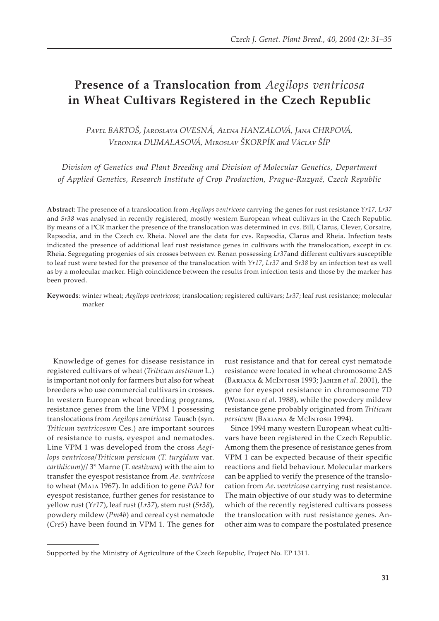# **Presence of a Translocation from** *Aegilops ventricosa* **in Wheat Cultivars Registered in the Czech Republic**

PAVEL BARTOŠ, JAROSLAVA OVESNÁ, ALENA HANZALOVÁ, JANA CHRPOVÁ, VERONIKA DUMALASOVÁ, MIROSLAV ŠKORPÍK and VÁCLAV ŠÍP

*Division of Genetics and Plant Breeding and Division of Molecular Genetics, Department of Applied Genetics, Research Institute of Crop Production, Prague-Ruzyně, Czech Republic*

**Abstract**: The presence of a translocation from *Aegilops ventricosa* carrying the genes for rust resistance *Yr17, Lr37* and *Sr38* was analysed in recently registered, mostly western European wheat cultivars in the Czech Republic. By means of a PCR marker the presence of the translocation was determined in cvs. Bill, Clarus, Clever, Corsaire, Rapsodia, and in the Czech cv. Rheia. Novel are the data for cvs. Rapsodia, Clarus and Rheia. Infection tests indicated the presence of additional leaf rust resistance genes in cultivars with the translocation, except in cv. Rheia. Segregating progenies of six crosses between cv. Renan possessing *Lr37*and different cultivars susceptible to leaf rust were tested for the presence of the translocation with *Yr17*, *Lr37* and *Sr38* by an infection test as well as by a molecular marker. High coincidence between the results from infection tests and those by the marker has been proved.

**Keywords**: winter wheat; *Aegilops ventricosa*; translocation; registered cultivars; *Lr37*; leaf rust resistance; molecular marker

Knowledge of genes for disease resistance in registered cultivars of wheat (*Triticum aestivum* L.) is important not only for farmers but also for wheat breeders who use commercial cultivars in crosses. In western European wheat breeding programs, resistance genes from the line VPM 1 possessing translocations from *Aegilops ventricosa* Tausch (syn. *Triticum ventricosum* Ces.) are important sources of resistance to rusts, eyespot and nematodes. Line VPM 1 was developed from the cross *Aegilops ventricosa*/*Triticum persicum* (*T. turgidum* var. *carthlicum*)// 3\* Marne (*T. aestivum*) with the aim to transfer the eyespot resistance from *Ae. ventricosa* to wheat (M��� 1967). In addition to gene *Pch1* for eyespot resistance, further genes for resistance to yellow rust (*Yr17*), leaf rust (*Lr37*), stem rust (*Sr38*), powdery mildew (*Pm4b*) and cereal cyst nematode (*Cre5*) have been found in VPM 1. The genes for

rust resistance and that for cereal cyst nematode resistance were located in wheat chromosome 2AS (BARIANA & McINTOSH 1993; JAHIER et al. 2001), the gene for eyespot resistance in chromosome 7D (WORLAND *et al.* 1988), while the powdery mildew resistance gene probably originated from *Triticum*  persicum (ВАRIANA & McINTOSH 1994).

Since 1994 many western European wheat cultivars have been registered in the Czech Republic. Among them the presence of resistance genes from VPM 1 can be expected because of their specific reactions and field behaviour. Molecular markers can be applied to verify the presence of the translocation from *Ae. ventricosa* carrying rust resistance. The main objective of our study was to determine which of the recently registered cultivars possess the translocation with rust resistance genes. Another aim was to compare the postulated presence

Supported by the Ministry of Agriculture of the Czech Republic, Project No. EP 1311.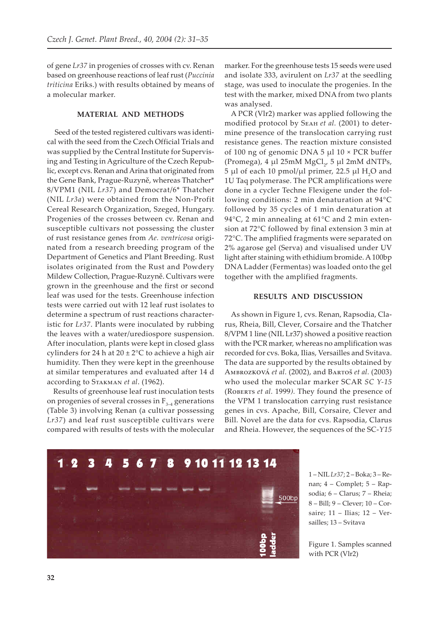of gene *Lr37* in progenies of crosses with cv. Renan based on greenhouse reactions of leaf rust (*Puccinia triticina* Eriks.) with results obtained by means of a molecular marker.

## **MATERIAL AND METHODS**

 Seed of the tested registered cultivars was identical with the seed from the Czech Official Trials and was supplied by the Central Institute for Supervising and Testing in Agriculture of the Czech Republic, except cvs. Renan and Arina that originated from the Gene Bank, Prague-Ruzyně, whereas Thatcher\* 8/VPM1 (NIL *Lr37*) and Democrat/6\* Thatcher (NIL *Lr3a*) were obtained from the Non-Profit Cereal Research Organization, Szeged, Hungary. Progenies of the crosses between cv. Renan and susceptible cultivars not possessing the cluster of rust resistance genes from *Ae. ventricosa* originated from a research breeding program of the Department of Genetics and Plant Breeding. Rust isolates originated from the Rust and Powdery Mildew Collection, Prague-Ruzyně. Cultivars were grown in the greenhouse and the first or second leaf was used for the tests. Greenhouse infection tests were carried out with 12 leaf rust isolates to determine a spectrum of rust reactions characteristic for *Lr37*. Plants were inoculated by rubbing the leaves with a water/urediospore suspension. After inoculation, plants were kept in closed glass cylinders for 24 h at  $20 \pm 2^{\circ}$ C to achieve a high air humidity. Then they were kept in the greenhouse at similar temperatures and evaluated after 14 d according to STAKMAN et al. (1962).

Results of greenhouse leaf rust inoculation tests on progenies of several crosses in  $F_{3-4}$  generations (Table 3) involving Renan (a cultivar possessing *Lr37*) and leaf rust susceptible cultivars were compared with results of tests with the molecular

marker. For the greenhouse tests 15 seeds were used and isolate 333, avirulent on *Lr37* at the seedling stage, was used to inoculate the progenies. In the test with the marker, mixed DNA from two plants was analysed.

A PCR (Vlr2) marker was applied following the modified protocol by SEAH et al. (2001) to determine presence of the translocation carrying rust resistance genes. The reaction mixture consisted of 100 ng of genomic DNA 5 µl 10 × PCR buffer (Promega), 4 µl 25mM  $MgCl_{2}$ , 5 µl 2mM dNTPs, 5 µl of each 10 pmol/µl primer, 22.5 µl  $H_2O$  and 1U Taq polymerase. The PCR amplifications were done in a cycler Techne Flexigene under the following conditions: 2 min denaturation at 94°C followed by 35 cycles of 1 min denaturation at 94°C, 2 min annealing at 61°C and 2 min extension at 72°C followed by final extension 3 min at 72°C. The amplified fragments were separated on 2% agarose gel (Serva) and visualised under UV light after staining with ethidium bromide. A 100bp DNA Ladder (Fermentas) was loaded onto the gel together with the amplified fragments.

## **RESULTS AND DISCUSSION**

As shown in Figure 1, cvs. Renan, Rapsodia, Clarus, Rheia, Bill, Clever, Corsaire and the Thatcher 8/VPM 1 line (NIL Lr37) showed a positive reaction with the PCR marker, whereas no amplification was recorded for cvs. Boka, Ilias, Versailles and Svitava. The data are supported by the results obtained by AMBROZKOVÁ et al. (2002), and BARTOŠ et al. (2003) who used the molecular marker SCAR *SC Y-15*  (ROBERTS et al. 1999). They found the presence of the VPM 1 translocation carrying rust resistance genes in cvs. Apache, Bill, Corsaire, Clever and Bill. Novel are the data for cvs. Rapsodia, Clarus and Rheia. However, the sequences of the SC-*Y15*



1 – NIL *Lr37*; 2 – Boka; 3 – Renan; 4 – Complet; 5 – Rapsodia; 6 – Clarus; 7 – Rheia; 8 – Bill; 9 – Clever; 10 – Corsaire; 11 – Ilias; 12 – Versailles; 13 – Svitava

Figure 1. Samples scanned with PCR (Vlr2)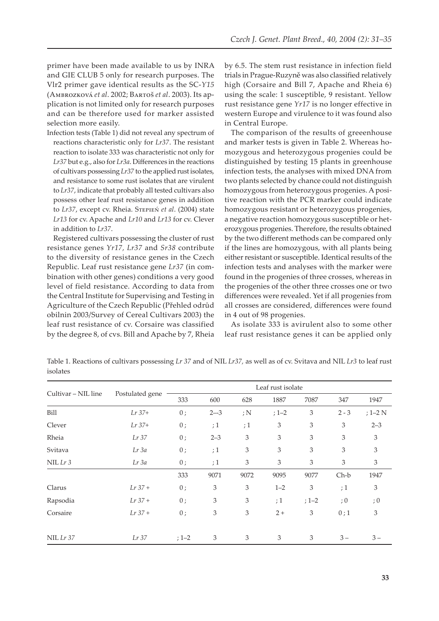primer have been made available to us by INRA and GIE CLUB 5 only for research purposes. The Vlr2 primer gave identical results as the SC-*Y15* (Амвкоzкоvá *et al.* 2002; Вактоš *et al.* 2003). Its application is not limited only for research purposes and can be therefore used for marker assisted selection more easily.

Infection tests (Table 1) did not reveal any spectrum of reactions characteristic only for *Lr37*. The resistant reaction to isolate 333 was characteristic not only for *Lr37* but e.g., also for *Lr3a*. Differences in the reactions of cultivars possessing *Lr37* to the applied rust isolates, and resistance to some rust isolates that are virulent to *Lr37*, indicate that probably all tested cultivars also possess other leaf rust resistance genes in addition to *Lr37*, except cv. Rheia. STEPIEN et al. (2004) state *Lr13* for cv. Apache and *Lr10* and *Lr13* for cv. Clever in addition to *Lr37*.

Registered cultivars possessing the cluster of rust resistance genes *Yr17, Lr37* and *Sr38* contribute to the diversity of resistance genes in the Czech Republic. Leaf rust resistance gene *Lr37* (in combination with other genes) conditions a very good level of field resistance. According to data from the Central Institute for Supervising and Testing in Agriculture of the Czech Republic (Přehled odrůd obilnin 2003/Survey of Cereal Cultivars 2003) the leaf rust resistance of cv. Corsaire was classified by the degree 8, of cvs. Bill and Apache by 7, Rheia by 6.5. The stem rust resistance in infection field trials in Prague-Ruzyně was also classified relatively high (Corsaire and Bill 7, Apache and Rheia 6) using the scale: 1 susceptible, 9 resistant. Yellow rust resistance gene *Yr17* is no longer effective in western Europe and virulence to it was found also in Central Europe.

The comparison of the results of greeenhouse and marker tests is given in Table 2. Whereas homozygous and heterozygous progenies could be distinguished by testing 15 plants in greenhouse infection tests, the analyses with mixed DNA from two plants selected by chance could not distinguish homozygous from heterozygous progenies. A positive reaction with the PCR marker could indicate homozygous resistant or heterozygous progenies, a negative reaction homozygous susceptible or heterozygous progenies. Therefore, the results obtained by the two different methods can be compared only if the lines are homozygous, with all plants being either resistant or susceptible. Identical results of the infection tests and analyses with the marker were found in the progenies of three crosses, whereas in the progenies of the other three crosses one or two differences were revealed. Yet if all progenies from all crosses are considered, differences were found in 4 out of 98 progenies.

As isolate 333 is avirulent also to some other leaf rust resistance genes it can be applied only

Table 1. Reactions of cultivars possessing *Lr 37* and of NIL *Lr37,* as well as of cv. Svitava and NIL *Lr3* to leaf rust isolates

|                     | Postulated gene<br>333<br>600<br>628<br>1887 | Leaf rust isolate |               |                |           |               |         |                |  |
|---------------------|----------------------------------------------|-------------------|---------------|----------------|-----------|---------------|---------|----------------|--|
| Cultivar – NIL line |                                              | 7087              | 347           | 1947           |           |               |         |                |  |
| Bill                | $Lr$ 37+                                     | 0;                | $2 - 3$       | ;N             | $; 1 - 2$ | $\mathfrak 3$ | $2 - 3$ | $;1-2N$        |  |
| Clever              | $Lr$ 37+                                     | 0;                | ;1            | ;1             | 3         | 3             | 3       | $2 - 3$        |  |
| Rheia               | $Lr$ 37                                      | 0;                | $2 - 3$       | 3              | 3         | 3             | 3       | $\mathfrak{Z}$ |  |
| Svitava             | $Lr$ 3a                                      | 0;                | ;1            | $\mathfrak 3$  | 3         | 3             | 3       | 3              |  |
| $NIL$ $Lr$ 3        | $Lr$ 3a                                      | 0;                | ;1            | $\mathfrak 3$  | 3         | 3             | 3       | $\mathfrak{Z}$ |  |
|                     |                                              | 333               | 9071          | 9072           | 9095      | 9077          | $Ch-b$  | 1947           |  |
| Clarus              | $Lr$ 37 +                                    | 0;                | $\mathfrak 3$ | 3              | $1 - 2$   | 3             | ;1      | $\mathfrak{Z}$ |  |
| Rapsodia            | $Lr$ 37 +                                    | 0;                | $\mathfrak 3$ | $\mathfrak 3$  | ;1        | $; 1 - 2$     | ;0      | ;0             |  |
| Corsaire            | $Lr$ 37 +                                    | 0;                | $\mathfrak 3$ | $\mathfrak{Z}$ | $2 +$     | $\mathfrak 3$ | 0;1     | $\mathfrak{Z}$ |  |
| $NIL$ $Lr$ 37       | $Lr$ 37                                      | $; 1 - 2$         | 3             | 3              | 3         | 3             | $3 -$   | $3 -$          |  |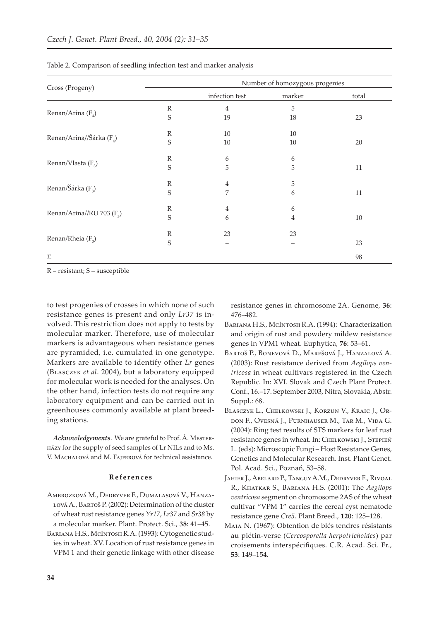| Cross (Progeny)                      | Number of homozygous progenies |                |        |        |  |  |  |
|--------------------------------------|--------------------------------|----------------|--------|--------|--|--|--|
|                                      |                                | infection test | marker | total  |  |  |  |
|                                      | $\mathbb{R}$                   | 4              | 5      |        |  |  |  |
| Renan/Arina $(F_4)$                  | S                              | 19             | 18     | 23     |  |  |  |
|                                      | $\mathbb R$                    | 10             | 10     |        |  |  |  |
| Renan/Arina//Šárka (F <sub>4</sub> ) | S                              | 10             | 10     | $20\,$ |  |  |  |
|                                      | $\mathbb R$                    | 6              | 6      |        |  |  |  |
| Renan/Vlasta $(F_3)$                 | S                              | 5              | 5      | 11     |  |  |  |
|                                      | $\mathbb{R}$                   | 4              | 5      |        |  |  |  |
| Renan/Šárka $(F_2)$                  | S                              | 7              | 6      | 11     |  |  |  |
|                                      | $\mathbb R$                    | 4              | 6      |        |  |  |  |
| Renan/Arina//RU 703 $(F_3)$          | S                              | 6              | 4      | $10\,$ |  |  |  |
|                                      | $\mathbb R$                    | 23             | 23     |        |  |  |  |
| Renan/Rheia $(F_3)$                  | S                              |                |        | 23     |  |  |  |
| $\Sigma$                             |                                |                |        | 98     |  |  |  |

Table 2. Comparison of seedling infection test and marker analysis

 $R$  – resistant;  $S$  – susceptible

to test progenies of crosses in which none of such resistance genes is present and only Lr37 is involved. This restriction does not apply to tests by molecular marker. Therefore, use of molecular markers is advantageous when resistance genes are pyramided, i.e. cumulated in one genotype. Markers are available to identify other Lr genes (BLASCZYK et al. 2004), but a laboratory equipped for molecular work is needed for the analyses. On the other hand, infection tests do not require any laboratory equipment and can be carried out in greenhouses commonly available at plant breeding stations.

Acknowledgements. We are grateful to Prof. A. MESTER-HÁZY for the supply of seed samples of Lr NILs and to Ms. V. MACHALOVÁ and M. FAJFEROVÁ for technical assistance.

### References

- AMBROZKOVÁ M., DEDRYVER F., DUMALASOVÁ V., HANZA-LOVÁ A., BARTOŠ P. (2002): Determination of the cluster of wheat rust resistance genes Yr17, Lr37 and Sr38 by a molecular marker. Plant. Protect. Sci., 38: 41-45.
- BARIANA H.S., McINTOSH R.A. (1993): Cytogenetic studies in wheat. XV. Location of rust resistance genes in VPM 1 and their genetic linkage with other disease

resistance genes in chromosome 2A. Genome, 36: 476-482.

- BARIANA H.S., McINTOSH R.A. (1994): Characterization and origin of rust and powdery mildew resistance genes in VPM1 wheat. Euphytica, 76: 53-61.
- BARTOŠ P., BONEVOVÁ D., MAREŠOVÁ J., HANZALOVÁ A. (2003): Rust resistance derived from Aegilops ventricosa in wheat cultivars registered in the Czech Republic. In: XVI. Slovak and Czech Plant Protect. Conf., 16.-17. September 2003, Nitra, Slovakia, Abstr. Suppl.: 68.
- BLASCZYK L., CHELKOWSKI J., KORZUN V., KRAIC J., OR-DON F., OVESNÁ J., PURNHAUSER M., TAR M., VIDA G. (2004): Ring test results of STS markers for leaf rust resistance genes in wheat. In: CHELKOWSKI J., STEPIEŃ L. (eds): Microscopic Fungi - Host Resistance Genes, Genetics and Molecular Research. Inst. Plant Genet. Pol. Acad. Sci., Poznań, 53-58.
- JAHIER J., ABELARD P., TANGUY A.M., DEDRYVER F., RIVOAL R., KHATKAR S., BARIANA H.S. (2001): The Aegilops ventricosa segment on chromosome 2AS of the wheat cultivar "VPM 1" carries the cereal cyst nematode resistance gene Cre5. Plant Breed., 120: 125-128.
- MAIA N. (1967): Obtention de blés tendres résistants au piétin-verse (Cercosporella herpotrichoides) par croisements interspécifiques. C.R. Acad. Sci. Fr., 53: 149-154.